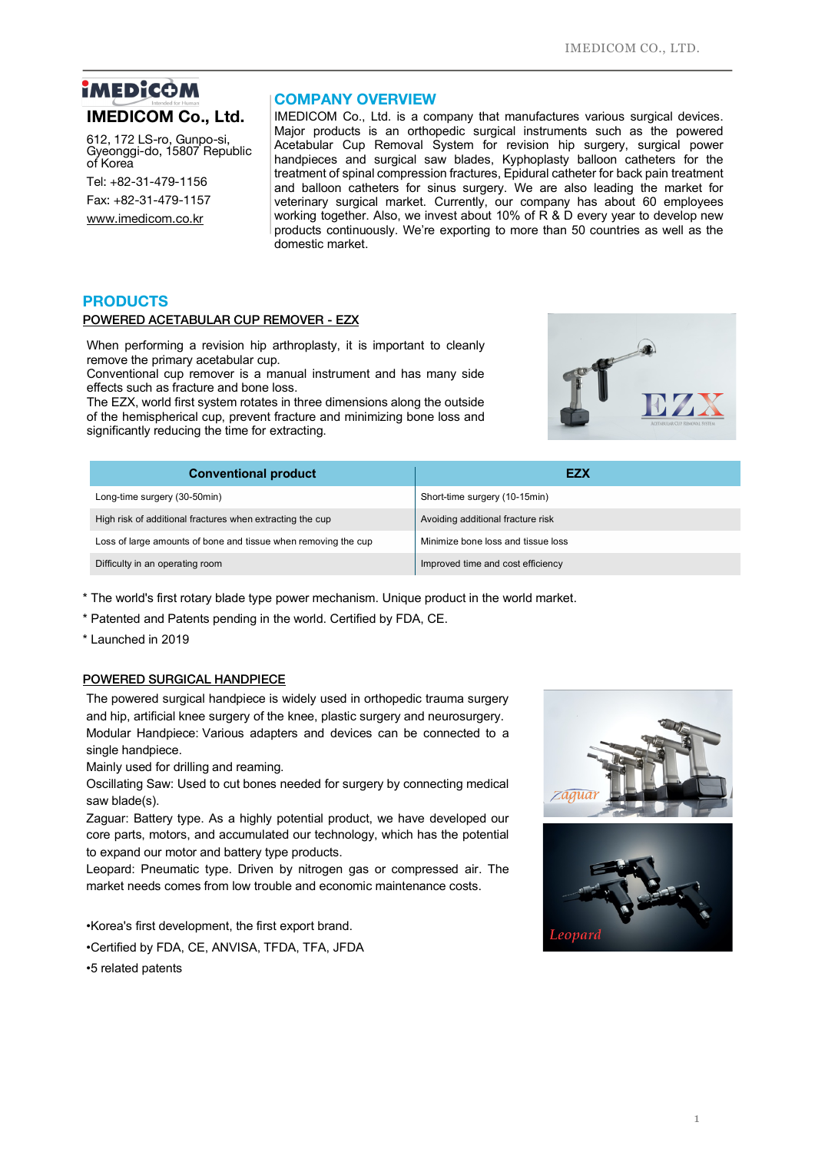# **iMEDICOM**

# **IMEDICOM Co., Ltd.**

612, 172 LS-ro, Gunpo-si, Gyeonggi-do, 15807 Republic of Korea

Tel: +82-31-479-1156

Fax: +82-31-479-1157

www.imedicom.co.kr

# **COMPANY OVERVIEW**

IMEDICOM Co., Ltd. is a company that manufactures various surgical devices. Major products is an orthopedic surgical instruments such as the powered Acetabular Cup Removal System for revision hip surgery, surgical power handpieces and surgical saw blades, Kyphoplasty balloon catheters for the treatment of spinal compression fractures, Epidural catheter for back pain treatment and balloon catheters for sinus surgery. We are also leading the market for veterinary surgical market. Currently, our company has about 60 employees working together. Also, we invest about 10% of R & D every year to develop new products continuously. We're exporting to more than 50 countries as well as the domestic market.

# **PRODUCTS** POWERED ACETABULAR CUP REMOVER - EZX

When performing a revision hip arthroplasty, it is important to cleanly remove the primary acetabular cup.

Conventional cup remover is a manual instrument and has many side effects such as fracture and bone loss.

The EZX, world first system rotates in three dimensions along the outside of the hemispherical cup, prevent fracture and minimizing bone loss and significantly reducing the time for extracting.



| <b>Conventional product</b>                                    | <b>EZX</b>                         |
|----------------------------------------------------------------|------------------------------------|
| Long-time surgery (30-50min)                                   | Short-time surgery (10-15min)      |
| High risk of additional fractures when extracting the cup      | Avoiding additional fracture risk  |
| Loss of large amounts of bone and tissue when removing the cup | Minimize bone loss and tissue loss |
| Difficulty in an operating room                                | Improved time and cost efficiency  |

- \* The world's first rotary blade type power mechanism. Unique product in the world market.
- \* Patented and Patents pending in the world. Certified by FDA, CE.
- \* Launched in 2019

# POWERED SURGICAL HANDPIECE

The powered surgical handpiece is widely used in orthopedic trauma surgery and hip, artificial knee surgery of the knee, plastic surgery and neurosurgery. Modular Handpiece: Various adapters and devices can be connected to a single handpiece.

Mainly used for drilling and reaming.

Oscillating Saw: Used to cut bones needed for surgery by connecting medical saw blade(s).

Zaguar: Battery type. As a highly potential product, we have developed our core parts, motors, and accumulated our technology, which has the potential to expand our motor and battery type products.

Leopard: Pneumatic type. Driven by nitrogen gas or compressed air. The market needs comes from low trouble and economic maintenance costs.

•Korea's first development, the first export brand.

•Certified by FDA, CE, ANVISA, TFDA, TFA, JFDA

•5 related patents



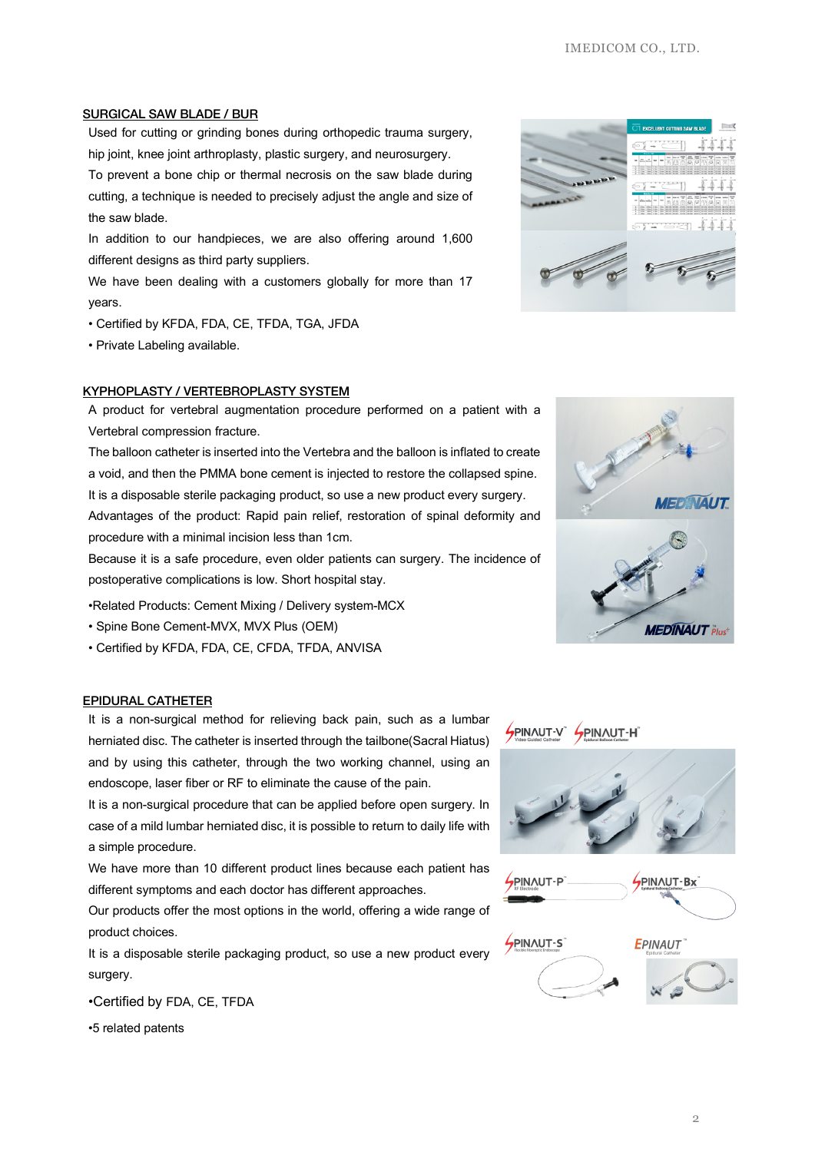IMEDICOM CO., LTD.

#### SURGICAL SAW BLADE / BUR

Used for cutting or grinding bones during orthopedic trauma surgery, hip joint, knee joint arthroplasty, plastic surgery, and neurosurgery.

To prevent a bone chip or thermal necrosis on the saw blade during cutting, a technique is needed to precisely adjust the angle and size of the saw blade.

In addition to our handpieces, we are also offering around 1,600 different designs as third party suppliers.

We have been dealing with a customers globally for more than 17 years.

- Certified by KFDA, FDA, CE, TFDA, TGA, JFDA
- Private Labeling available.

### KYPHOPLASTY / VERTEBROPLASTY SYSTEM

A product for vertebral augmentation procedure performed on a patient with a Vertebral compression fracture.

The balloon catheter is inserted into the Vertebra and the balloon is inflated to create a void, and then the PMMA bone cement is injected to restore the collapsed spine.

It is a disposable sterile packaging product, so use a new product every surgery. Advantages of the product: Rapid pain relief, restoration of spinal deformity and

procedure with a minimal incision less than 1cm.

Because it is a safe procedure, even older patients can surgery. The incidence of postoperative complications is low. Short hospital stay.

- •Related Products: Cement Mixing / Delivery system-MCX
- Spine Bone Cement-MVX, MVX Plus (OEM)
- Certified by KFDA, FDA, CE, CFDA, TFDA, ANVISA

#### EPIDURAL CATHETER

It is a non-surgical method for relieving back pain, such as a lumbar herniated disc. The catheter is inserted through the tailbone(Sacral Hiatus) and by using this catheter, through the two working channel, using an endoscope, laser fiber or RF to eliminate the cause of the pain.

It is a non-surgical procedure that can be applied before open surgery. In case of a mild lumbar herniated disc, it is possible to return to daily life with a simple procedure.

We have more than 10 different product lines because each patient has different symptoms and each doctor has different approaches.

Our products offer the most options in the world, offering a wide range of product choices.

It is a disposable sterile packaging product, so use a new product every surgery.

•Certified by FDA, CE, TFDA

•5 related patents







SPINAUT-V SPINAUT-H